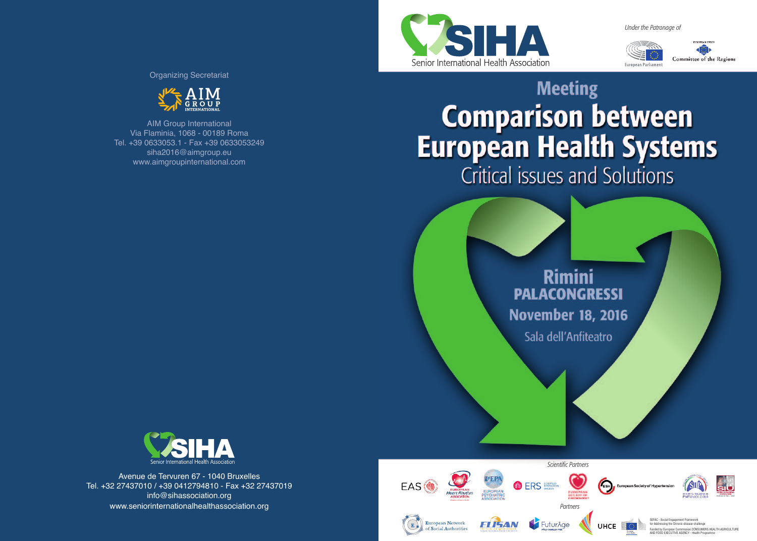*Under the Patronage of*



Committee of the Region: European Parliamen

# **Meeting Comparison between**<br>European Health Systems Critical issues and Solutions



Sala dell'Anfiteatro



AIM Group International Via Flaminia, 1068 - 00189 Roma Tel. +39 0633053.1 - Fax +39 0633053249 siha2016@aimgroup.eu www.aimgroupinternational.com

Organizing Secretariat

Avenue de Tervuren 67 - 1040 Bruxelles Tel. +32 27437010 / +39 0412794810 - Fax +32 27437019 info@sihassociation.org www.seniorinternationalhealthassociation.org